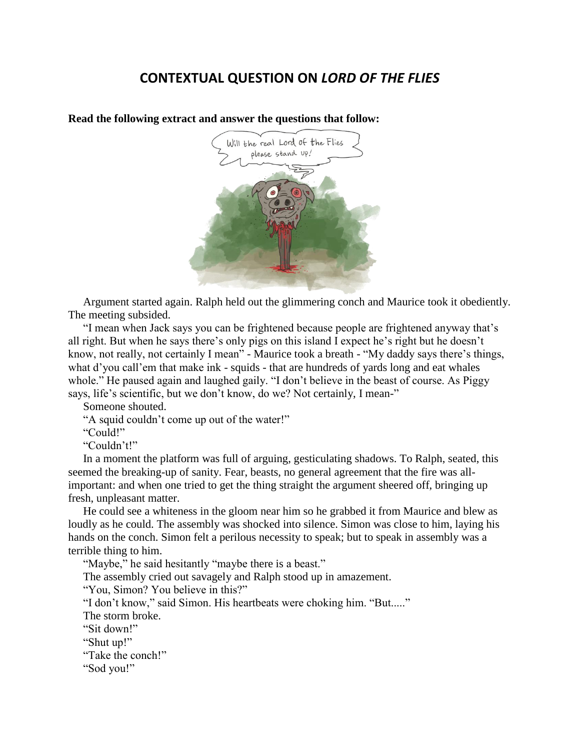## **CONTEXTUAL QUESTION ON** *LORD OF THE FLIES*



**Read the following extract and answer the questions that follow:**

Argument started again. Ralph held out the glimmering conch and Maurice took it obediently. The meeting subsided.

"I mean when Jack says you can be frightened because people are frightened anyway that's all right. But when he says there's only pigs on this island I expect he's right but he doesn't know, not really, not certainly I mean" - Maurice took a breath - "My daddy says there's things, what d'you call'em that make ink - squids - that are hundreds of yards long and eat whales whole." He paused again and laughed gaily. "I don't believe in the beast of course. As Piggy says, life's scientific, but we don't know, do we? Not certainly, I mean-"

Someone shouted.

"A squid couldn't come up out of the water!"

"Could!"

"Couldn't!"

In a moment the platform was full of arguing, gesticulating shadows. To Ralph, seated, this seemed the breaking-up of sanity. Fear, beasts, no general agreement that the fire was allimportant: and when one tried to get the thing straight the argument sheered off, bringing up fresh, unpleasant matter.

He could see a whiteness in the gloom near him so he grabbed it from Maurice and blew as loudly as he could. The assembly was shocked into silence. Simon was close to him, laying his hands on the conch. Simon felt a perilous necessity to speak; but to speak in assembly was a terrible thing to him.

"Maybe," he said hesitantly "maybe there is a beast." The assembly cried out savagely and Ralph stood up in amazement. "You, Simon? You believe in this?" "I don't know," said Simon. His heartbeats were choking him. "But....." The storm broke. "Sit down!" "Shut up!" "Take the conch!" "Sod you!"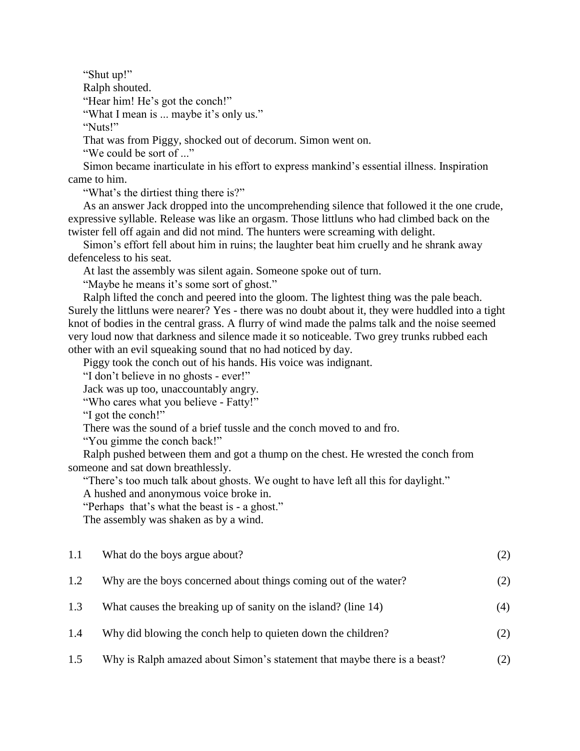"Shut up!"

Ralph shouted.

"Hear him! He's got the conch!"

"What I mean is ... maybe it's only us."

"Nuts!"

That was from Piggy, shocked out of decorum. Simon went on.

"We could be sort of ..."

Simon became inarticulate in his effort to express mankind's essential illness. Inspiration came to him.

"What's the dirtiest thing there is?"

As an answer Jack dropped into the uncomprehending silence that followed it the one crude, expressive syllable. Release was like an orgasm. Those littluns who had climbed back on the twister fell off again and did not mind. The hunters were screaming with delight.

Simon's effort fell about him in ruins; the laughter beat him cruelly and he shrank away defenceless to his seat.

At last the assembly was silent again. Someone spoke out of turn.

"Maybe he means it's some sort of ghost."

Ralph lifted the conch and peered into the gloom. The lightest thing was the pale beach. Surely the littluns were nearer? Yes - there was no doubt about it, they were huddled into a tight knot of bodies in the central grass. A flurry of wind made the palms talk and the noise seemed very loud now that darkness and silence made it so noticeable. Two grey trunks rubbed each other with an evil squeaking sound that no had noticed by day.

Piggy took the conch out of his hands. His voice was indignant.

"I don't believe in no ghosts - ever!"

Jack was up too, unaccountably angry.

"Who cares what you believe - Fatty!"

"I got the conch!"

There was the sound of a brief tussle and the conch moved to and fro.

"You gimme the conch back!"

Ralph pushed between them and got a thump on the chest. He wrested the conch from someone and sat down breathlessly.

"There's too much talk about ghosts. We ought to have left all this for daylight."

A hushed and anonymous voice broke in.

"Perhaps that's what the beast is - a ghost."

The assembly was shaken as by a wind.

| 1.1 | What do the boys argue about?                                            | (2) |
|-----|--------------------------------------------------------------------------|-----|
| 1.2 | Why are the boys concerned about things coming out of the water?         | (2) |
| 1.3 | What causes the breaking up of sanity on the island? (line 14)           | (4) |
| 1.4 | Why did blowing the conch help to quieten down the children?             | (2) |
| 1.5 | Why is Ralph amazed about Simon's statement that maybe there is a beast? | (2) |